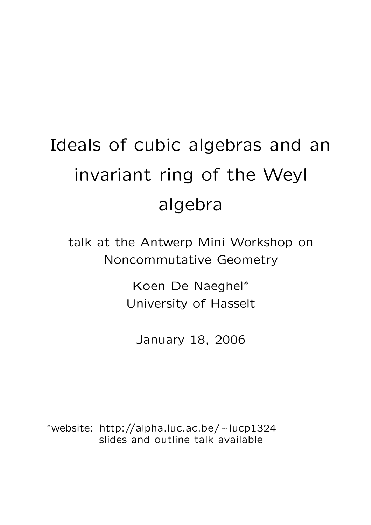# Ideals of cubic algebras and an invariant ring of the Weyl algebra

talk at the Antwerp Mini Workshop on Noncommutative Geometry

> Koen De Naeghel<sup>∗</sup> University of Hasselt

January 18, 2006

∗website: http://alpha.luc.ac.be/∼lucp1324<br>slides and outline talk available slides and outline talk available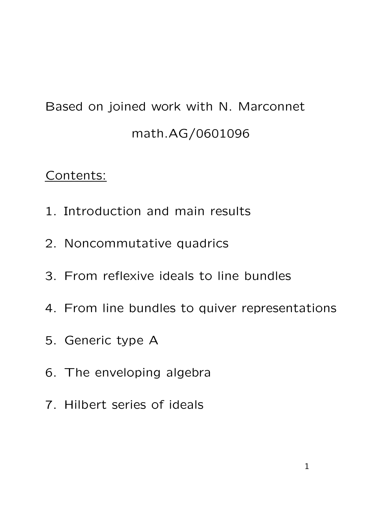## Based on joined work with N. Marconnet math.AG/0601096

## Contents:

- 1. Introduction and main results
- 2. Noncommutative quadrics
- 3. From reflexive ideals to line bundles
- 4. From line bundles to quiver representations
- 5. Generic type A
- 6. The enveloping algebra
- 7. Hilbert series of ideals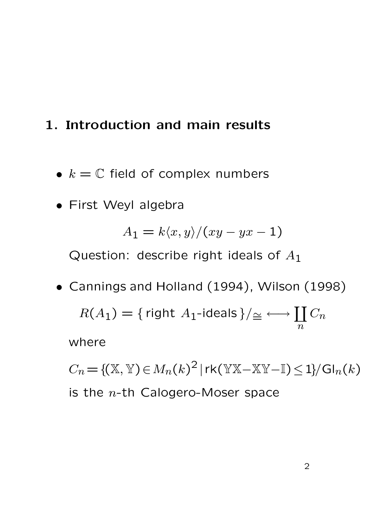## 1. Introduction and main results

- $k = \mathbb{C}$  field of complex numbers
- First Weyl algebra

$$
A_1 = k \langle x, y \rangle / (xy - yx - 1)
$$

Question: describe right ideals of  $A_1$ 

• Cannings and Holland (1994), Wilson (1998)  $R(A_1) = \{$  right  $A_1$ -ideals  $\}/\simeq \longleftrightarrow \coprod$  $\overline{n}$  $C_n$ where

 $C_n = \{ (\mathbb{X}, \mathbb{Y}) \in M_n(k)^2 \, | \, \text{rk}(\mathbb{Y} \mathbb{X} - \mathbb{X} \mathbb{Y} - \mathbb{I}) \leq 1 \} / \text{Gl}_n(k)$ is the  $n$ -th Calogero-Moser space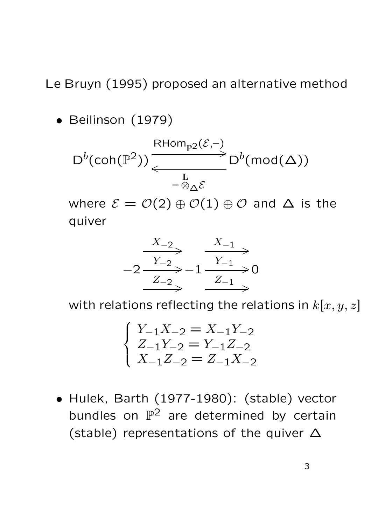## Le Bruyn (1995) proposed an alternative method

• Beilinson (1979)

$$
\mathsf{D}^b(\mathsf{coh}(\mathbb{P}^2)) \xrightarrow[\phantom{a}]{\mathsf{RHom}_{\mathbb{P}^2}(\mathcal{E},-)} \mathsf{D}^b(\mathsf{mod}(\Delta))
$$

where  $\mathcal{E} = \mathcal{O}(2) \oplus \mathcal{O}(1) \oplus \mathcal{O}$  and  $\Delta$  is the quiver

$$
-2\xrightarrow{X_{-2}} -1\xrightarrow{X_{-1}} 0
$$
  

$$
-2\xrightarrow{Z_{-2}} -1\xrightarrow{Y_{-1}} 0
$$

with relations reflecting the relations in  $k[x, y, z]$ 

$$
\begin{cases}\nY_{-1}X_{-2} = X_{-1}Y_{-2} \\
Z_{-1}Y_{-2} = Y_{-1}Z_{-2} \\
X_{-1}Z_{-2} = Z_{-1}X_{-2}\n\end{cases}
$$

• Hulek, Barth (1977-1980): (stable) vector bundles on  $\mathbb{P}^2$  are determined by certain (stable) representations of the quiver ∆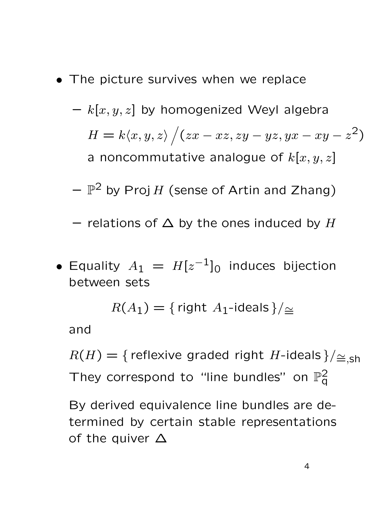- The picture survives when we replace
	- $k[x, y, z]$  by homogenized Weyl algebra  $H = k \langle x, y, z \rangle / (zx - xz, zy - yz, yx - xy - z^2)$ a noncommutative analogue of  $k[x, y, z]$
	- $\mathbb{P}^2$  by Proj H (sense of Artin and Zhang)
	- relations of  $\Delta$  by the ones induced by H
- Equality  $A_1 = H[z^{-1}]_0$  induces bijection between sets

 $R(A_1) = \{$  right  $A_1$ -ideals }/ $\simeq$ 

and

 $R(H) = {$  reflexive graded right H-ideals }/ $\leq_{\leq, \mathsf{Sh}}$ They correspond to "line bundles" on  $\mathbb{P}^2_q$  $\bar{\mathsf{q}}$ 

By derived equivalence line bundles are determined by certain stable representations of the quiver ∆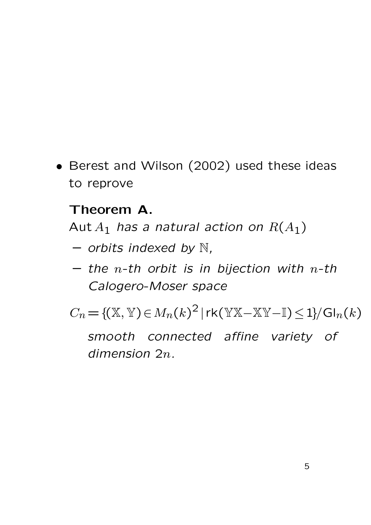• Berest and Wilson (2002) used these ideas to reprove

## Theorem A.

Aut  $A_1$  has a natural action on  $R(A_1)$ 

- $-$  orbits indexed by  $\mathbb{N}$ ,
- the n-th orbit is in bijection with n-th Calogero-Moser space

 $C_n = \{ (X, Y) \in M_n(k)^2 \mid rk(YX-XY-I) \leq 1 \} / \mathrm{Gl}_n(k)$ 

smooth connected affine variety of dimension 2n.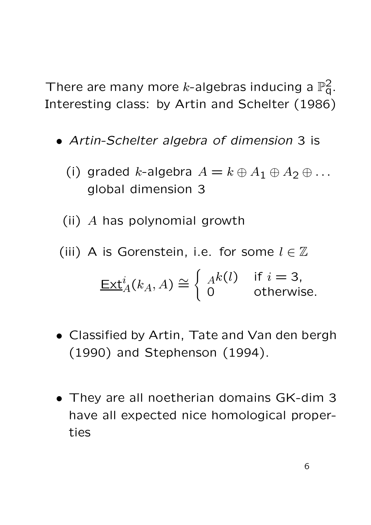There are many more *k*-algebras inducing a  $\mathbb{P}^2_q$ . Interesting class: by Artin and Schelter (1986)

- Artin-Schelter algebra of dimension 3 is
	- (i) graded k-algebra  $A = k \oplus A_1 \oplus A_2 \oplus \ldots$ global dimension 3
	- (ii) A has polynomial growth
- (iii) A is Gorenstein, i.e. for some  $l \in \mathbb{Z}$

$$
\underline{\operatorname{Ext}}^i_A(k_A, A) \cong \begin{cases} A^k(l) & \text{if } i = 3, \\ 0 & \text{otherwise.} \end{cases}
$$

- Classified by Artin, Tate and Van den bergh (1990) and Stephenson (1994).
- They are all noetherian domains GK-dim 3 have all expected nice homological properties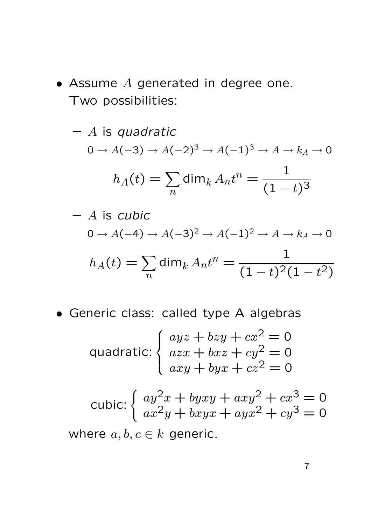$\bullet$  Assume  $A$  generated in degree one. Two possibilities:

$$
- A \text{ is quadratic}
$$
  
\n
$$
0 \to A(-3) \to A(-2)^3 \to A(-1)^3 \to A \to k_A \to 0
$$
  
\n
$$
h_A(t) = \sum_n \dim_k A_n t^n = \frac{1}{(1-t)^3}
$$

$$
- A \text{ is cubic}
$$
  
\n
$$
0 \rightarrow A(-4) \rightarrow A(-3)^2 \rightarrow A(-1)^2 \rightarrow A \rightarrow k_A \rightarrow 0
$$
  
\n
$$
h_A(t) = \sum_n \dim_k A_n t^n = \frac{1}{(1-t)^2(1-t^2)}
$$

• Generic class: called type A algebras

quadratic: 
$$
\begin{cases} ayz + bzy + cx^2 = 0\\ axx + bxz + cy^2 = 0\\ axy + byx + cz^2 = 0 \end{cases}
$$

cubic: 
$$
\begin{cases} ay^2x + byxy + axy^2 + cx^3 = 0\\ ax^2y + bxyx + ayx^2 + cy^3 = 0 \end{cases}
$$

where  $a, b, c \in k$  generic.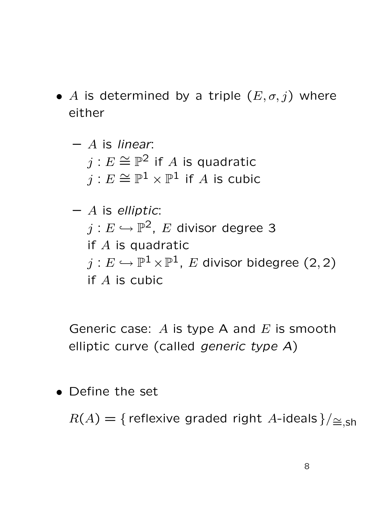- A is determined by a triple  $(E, \sigma, j)$  where either
	- $-$  A is linear:  $j:E\cong \mathbb{P}^{\bar{2}}$  if  $A$  is quadratic  $j:E\cong \mathbb{P}^1\times \mathbb{P}^1$  if  $A$  is cubic
	- $-$  A is elliptic:  $j:E\hookrightarrow \mathbb{P}^2$ ,  $E$  divisor degree 3 if A is quadratic  $j:E\hookrightarrow \mathbb{P}^1\times \mathbb{P}^1$ ,  $E$  divisor bidegree  $(2,2)$ if A is cubic

Generic case:  $A$  is type A and  $E$  is smooth elliptic curve (called generic type A)

• Define the set

 $R(A) = {$  reflexive graded right A-ideals }/ $\simeq_{\text{sh}}$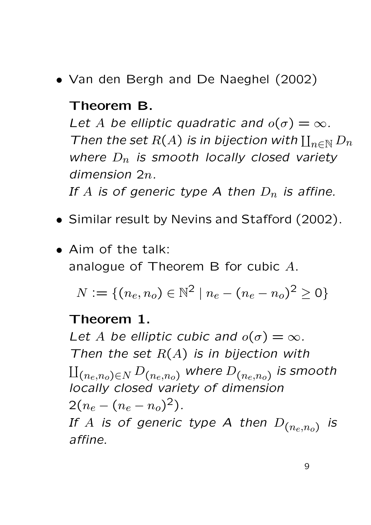• Van den Bergh and De Naeghel (2002)

#### Theorem B.

Let A be elliptic quadratic and  $o(\sigma) = \infty$ . Then the set  $R(A)$  is in bijection with  $\coprod_{n\in\mathbb{N}}D_n$ where  $D_n$  is smooth locally closed variety dimension 2n.

If A is of generic type A then  $D_n$  is affine.

- Similar result by Nevins and Stafford (2002).
- Aim of the talk: analogue of Theorem B for cubic A.

 $N := \{(n_e, n_o) \in \mathbb{N}^2 \mid n_e - (n_e - n_o)^2 \ge 0\}$ 

#### Theorem 1.

Let A be elliptic cubic and  $o(\sigma) = \infty$ . Then the set  $R(A)$  is in bijection with  $\amalg_{(n_e,n_o)\in N}$   $D_{(n_e,n_o)}$  where  $D_{(n_e,n_o)}$  is smooth locally closed variety of dimension  $2(n_e - (n_e - n_o)^2)$ . If A is of generic type A then  $D_{(n_e,n_o)}$ is affine.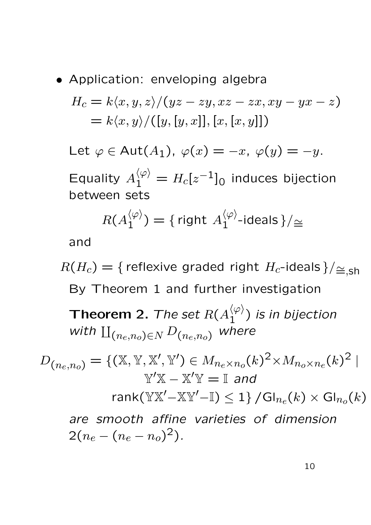• Application: enveloping algebra

$$
H_c = k \langle x, y, z \rangle / (yz - zy, xz - zx, xy - yx - z)
$$
  
=  $k \langle x, y \rangle / ([y, [y, x]], [x, [x, y]])$ 

Let  $\varphi \in \text{Aut}(A_1)$ ,  $\varphi(x) = -x$ ,  $\varphi(y) = -y$ .

Equality  $A_1^{\langle \varphi \rangle} = H_c[z^{-1}]_0$  induces bijection between sets

$$
R(A_1^{\langle \varphi \rangle}) = \{ \text{ right } A_1^{\langle \varphi \rangle} \text{-ideals} \}/\simeq
$$

and

 $R(H_c) = \{$  reflexive graded right  $H_c$ -ideals }/ $\leq_{\text{sh}}$ By Theorem 1 and further investigation

**Theorem 2.** The set  $R(A_1^{\langle\varphi\rangle})$  $\binom{\varphi}{1}$  is in bijection with  $\prod_{(n_e,n_o)\in N} D_{(n_e,n_o)}$  where

 $D_{(n_e,n_o)} = \{ (\mathbb{X}, \mathbb{Y}, \mathbb{X}', \mathbb{Y}') \in M_{n_e \times n_o}(k)^2 \times M_{n_o \times n_e}(k)^2 \}$  $\mathbb{Y}'\mathbb{X} - \mathbb{X}'\mathbb{Y} = \mathbb{I}$  and rank( $\mathbb{Y} \mathbb{X}' - \mathbb{X} \mathbb{Y}' - \mathbb{I}$ ) < 1} / $\mathsf{Gl}_{n_e}(k) \times \mathsf{Gl}_{n_e}(k)$ are smooth affine varieties of dimension  $2(n_e - (n_e - n_o)^2)$ .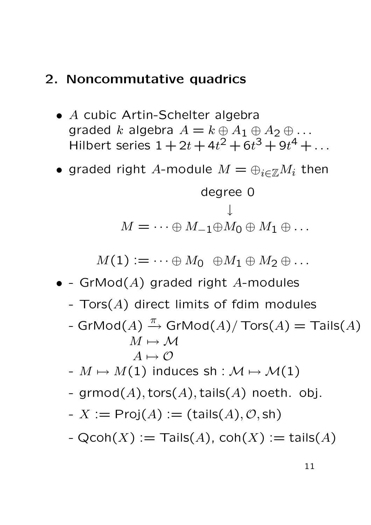## 2. Noncommutative quadrics

- A cubic Artin-Schelter algebra graded k algebra  $A = k \oplus A_1 \oplus A_2 \oplus \ldots$ Hilbert series  $1 + 2t + 4t^2 + 6t^3 + 9t^4 + ...$
- graded right A-module  $M = \bigoplus_{i \in \mathbb{Z}} M_i$  then

$$
\begin{aligned}\n\text{degree 0} \\
M = \cdots \oplus M_{-1} \oplus M_0 \oplus M_1 \oplus \ldots\n\end{aligned}
$$

 $M(1) := \cdots \oplus M_0 \oplus M_1 \oplus M_2 \oplus \ldots$ 

- - GrMod $(A)$  graded right A-modules
	- $Tors(A)$  direct limits of fdim modules
	- $\mathsf{GrMod}(A) \xrightarrow{\pi} \mathsf{GrMod}(A)/\mathsf{Tors}(A) = \mathsf{Tails}(A)$  $M \mapsto M$  $A \mapsto \mathcal{O}$
	- $-M \mapsto M(1)$  induces sh :  $\mathcal{M} \mapsto \mathcal{M}(1)$
	- grmod $(A)$ , tors $(A)$ , tails $(A)$  noeth. obj.

$$
- X := \mathsf{Proj}(A) := (\mathsf{tails}(A), \mathcal{O}, \mathsf{sh})
$$

-  $Qcoh(X) :=$  Tails $(A)$ ,  $coh(X) :=$  tails $(A)$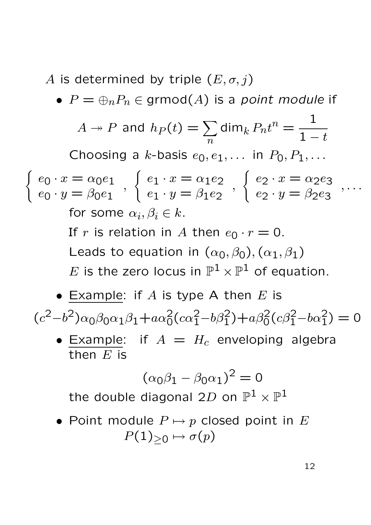A is determined by triple  $(E, \sigma, j)$ 

•  $P = \bigoplus_{n} P_n \in \text{grmod}(A)$  is a point module if

 $A \twoheadrightarrow P$  and  $h_P (t) = \sum$  $\overline{n}$ dim $_k P_n t^n =$ 1  $1-t$ Choosing a k-basis  $e_0, e_1, \ldots$  in  $P_0, P_1, \ldots$  $\int e_0 \cdot x = \alpha_0 e_1$  $e_0 \cdot y = \beta_0 e_1$ ,  $\int e_1 \cdot x = \alpha_1 e_2$  $e_1 \cdot y = \beta_1 e_2$ ,  $\int e_2 \cdot x = \alpha_2 e_3$  $e_2 \cdot y = \beta_2 e_3$ , . . . for some  $\alpha_i, \beta_i \in k$ . If r is relation in A then  $e_0 \cdot r = 0$ . Leads to equation in  $(\alpha_0, \beta_0), (\alpha_1, \beta_1)$  $E$  is the zero locus in  $\mathbb{P}^1\times \mathbb{P}^1$  of equation.

• Example: if A is type A then  $E$  is

 $(c^2-b^2)\alpha_0\beta_0\alpha_1\beta_1+a\alpha_0^2(c\alpha_1^2-b\beta_1^2)+a\beta_0^2(c\beta_1^2-b\alpha_1^2)=0$ 

• Example: if  $A = H_c$  enveloping algebra then  $E$  is

$$
(\alpha_0 \beta_1 - \beta_0 \alpha_1)^2 = 0
$$
  
the double diagonal 2D on  $\mathbb{P}^1 \times \mathbb{P}^1$ 

• Point module  $P \mapsto p$  closed point in E  $P(1)_{\geq 0} \mapsto \sigma(p)$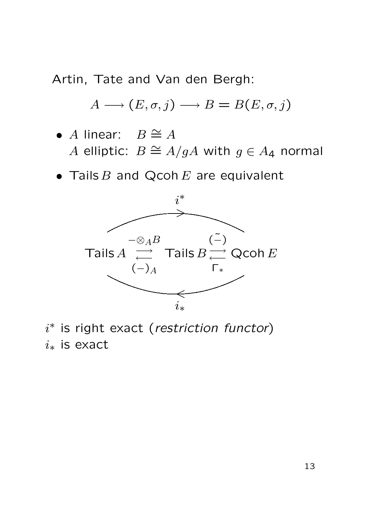Artin, Tate and Van den Bergh:

$$
A \longrightarrow (E, \sigma, j) \longrightarrow B = B(E, \sigma, j)
$$

• A linear:  $B \cong A$ A elliptic:  $B \cong A/gA$  with  $g \in A_4$  normal

• Tails  $B$  and Qcoh  $E$  are equivalent



 $i^*$  is right exact (restriction functor)  $i_*$  is exact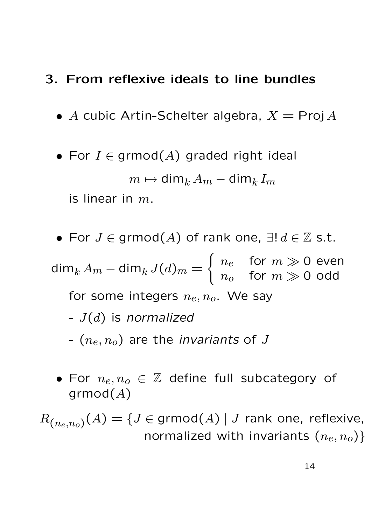## 3. From reflexive ideals to line bundles

- A cubic Artin-Schelter algebra,  $X = \text{Proj } A$
- For  $I \in \text{grmod}(A)$  graded right ideal

$$
m\mapsto \dim_k A_m-\dim_k I_m
$$

is linear in  $m$ .

- For  $J \in \text{grmod}(A)$  of rank one,  $\exists ! d \in \mathbb{Z}$  s.t. dim $_{k}$   $A_{m}$   $-$  dim $_{k}$   $J(d)_{m}$   $=$  $\int n_e$  for  $m \gg 0$  even  $n_o$  for  $m \gg 0$  odd for some integers  $n_e, n_o$ . We say -  $J(d)$  is normalized -  $(n_e, n_o)$  are the *invariants* of J
	- For  $n_e, n_o \in \mathbb{Z}$  define full subcategory of  $grmod(A)$

 $R_{(n_{e},n_{o})}(A)=\{J\in\mathsf{grmod}(A)\mid J\text{ rank one, reflexive, }% \{J\in\mathcal{J}_{\phi}\}=\{J\in\mathcal{J}_{\phi}\}$ normalized with invariants  $(n_e, n_o)$ }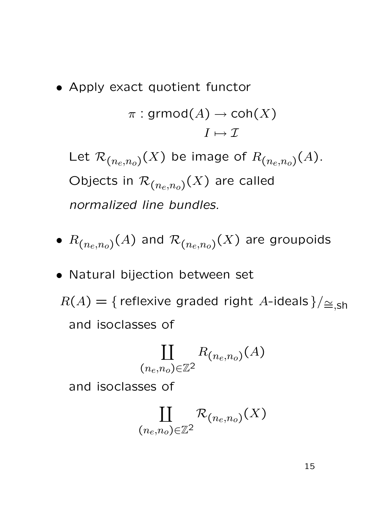• Apply exact quotient functor

$$
\pi : \text{grmod}(A) \to \text{coh}(X)
$$

$$
I \mapsto \mathcal{I}
$$

Let  $\mathcal{R}_{(n_e,n_o)}(X)$  be image of  $R_{(n_e,n_o)}(A)$ . Objects in  $\mathcal{R}_{(n_e,n_o)}(X)$  are called normalized line bundles.

- $\bullet$   $R_{(n_{e},n_{o})}(A)$  and  $\mathcal{R}_{(n_{e},n_{o})}(X)$  are groupoids
- Natural bijection between set  $R(A) = {$  reflexive graded right A-ideals }/ $\leq_{\leq, \mathsf{sh}}$ and isoclasses of

$$
\coprod_{(n_e,n_o)\in\mathbb{Z}^2}R_{(n_e,n_o)}(A)
$$

and isoclasses of

$$
\coprod_{(n_e,n_o)\in\mathbb{Z}^2}\mathcal{R}_{(n_e,n_o)}(X)
$$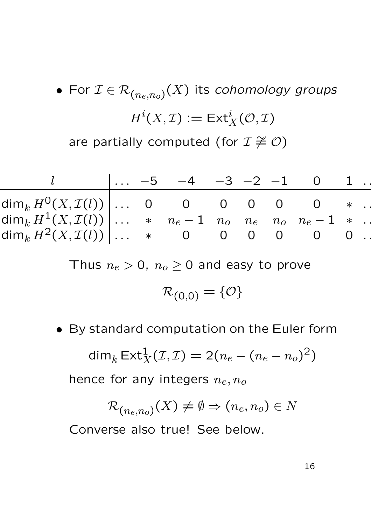\n- For 
$$
\mathcal{I} \in \mathcal{R}_{(n_e, n_o)}(X)
$$
 its cohomology groups  $H^i(X, \mathcal{I}) := \text{Ext}^i_X(\mathcal{O}, \mathcal{I})$  are partially computed (for  $\mathcal{I} \not\cong \mathcal{O}$ )
\n

|                                                                                                                         |  | $\begin{vmatrix} \dots & -5 & -4 & -3 & -2 & -1 & 0 & 1 \end{vmatrix}$ |  |  |  |
|-------------------------------------------------------------------------------------------------------------------------|--|------------------------------------------------------------------------|--|--|--|
| $\dim_k H^0(X,\mathcal I(l))\,\big \ldots\,$ 0 0 0 0 0 $*$ .                                                            |  |                                                                        |  |  |  |
| $\dim_k H^1(X,\mathcal I(l))\,\big \dots\quad *\quad n_e-1\quad n_o\quad n_e\quad n_o\quad n_e-1\quad *\quad\cdot\big $ |  |                                                                        |  |  |  |
| $\dim_k H^2(X,\mathcal{I}(l))   \ldots$ * 0 0 0 0 0 0 .                                                                 |  |                                                                        |  |  |  |

Thus  $n_e > 0$ ,  $n_o \ge 0$  and easy to prove

$$
\mathcal{R}_{(0,0)} = \{\mathcal{O}\}
$$

• By standard computation on the Euler form

$$
\dim_k \operatorname{Ext}^1_X(\mathcal{I}, \mathcal{I}) = 2(n_e - (n_e - n_o)^2)
$$

hence for any integers  $n_e, n_o$ 

$$
\mathcal{R}_{(n_e,n_o)}(X) \neq \emptyset \Rightarrow (n_e,n_o) \in N
$$

Converse also true! See below.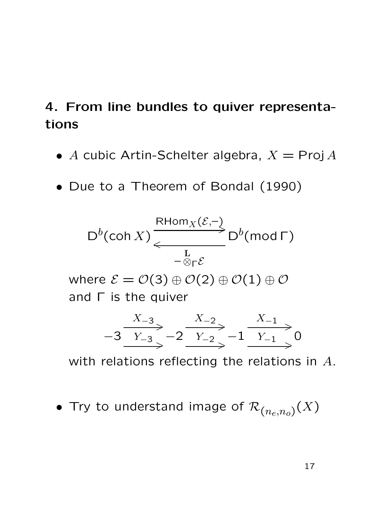## 4. From line bundles to quiver representations

- A cubic Artin-Schelter algebra,  $X = \text{Proj } A$
- Due to a Theorem of Bondal (1990)

$$
D^{b}(\operatorname{coh} X) \xleftarrow{\text{RHom}_{X}(\mathcal{E},-)}_{-\otimes_{\Gamma} \mathcal{E}} D^{b}(\operatorname{mod} \Gamma)
$$

where  $\mathcal{E} = \mathcal{O}(3) \oplus \mathcal{O}(2) \oplus \mathcal{O}(1) \oplus \mathcal{O}$ and Γ is the quiver

$$
-3 \xrightarrow{X_{-3}} -2 \xrightarrow{X_{-2}} -1 \xrightarrow{X_{-1}} 0
$$

with relations reflecting the relations in A.

 $\bullet$  Try to understand image of  ${\cal R}_{(n_e,n_o)}(X)$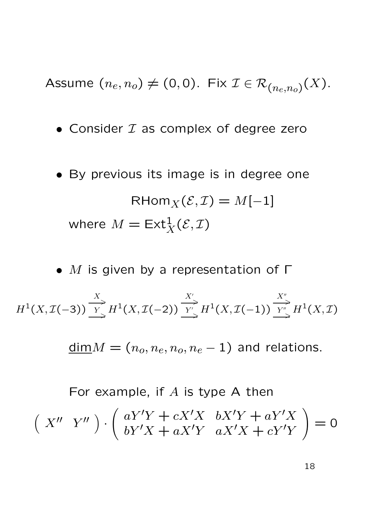Assume  $(n_e, n_o) \neq (0, 0)$ . Fix  $\mathcal{I} \in \mathcal{R}_{(n_e, n_o)}(X)$ .

- Consider  $I$  as complex of degree zero
- By previous its image is in degree one RHom $_{X}(\mathcal{E}, \mathcal{I}) = M[-1]$ where  $M = \mathsf{Ext}^1_X(\mathcal{E},\mathcal{I})$

•  $M$  is given by a representation of  $\Gamma$  $H^1(X, \mathcal{I}(-3))$  $\boldsymbol{X}$  $\Rightarrow$ Y  $\bigcup_{\alpha=1}^{\infty} H^1(X, \mathcal{I}(-2))$  $X^{\prime}$  $\Rightarrow$  $Y'$  $\stackrel{\sim}{\rightarrow} H^1(X,\mathcal{I}(-1))$  $X''$  $\Rightarrow$  $Y''$  $\int_{\Theta}$   $H^1(X, \mathcal{I})$ 

 $\underline{\dim}M = (n_o, n_e, n_o, n_e - 1)$  and relations.

For example, if  $A$  is type A then  $(X''Y'')$ .  $\int aY'Y + cX'X \quad bX'Y + aY'X$  $bY'X + aX'Y \quad aX'X + cY'Y$  $\sum_{i=1}^{n}$  $= 0$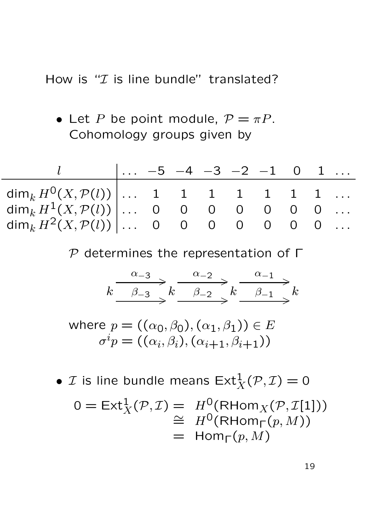How is " $I$  is line bundle" translated?

• Let P be point module,  $P = \pi P$ . Cohomology groups given by

|                                                        |  |  | $\vert \ldots -5$ $-4$ $-3$ $-2$ $-1$ 0 1 |  |  |
|--------------------------------------------------------|--|--|-------------------------------------------|--|--|
| $\dim_k H^0(X,\mathcal{P}(l))   \ldots$ 1 1 1 1 1 1 1  |  |  |                                           |  |  |
| $\dim_k H^1(X, \mathcal{P}(l))   \ldots$ 0 0 0 0 0 0 0 |  |  |                                           |  |  |
| $\dim_k H^2(X, \mathcal{P}(l))   \ldots$ 0 0 0 0 0 0 0 |  |  |                                           |  |  |

 $P$  determines the representation of  $\Gamma$ 

$$
k \xrightarrow{\alpha_{-3}} k \xrightarrow{\alpha_{-2}} k \xrightarrow{\alpha_{-1}} k
$$
  

$$
\xrightarrow{\beta_{-3}} k \xrightarrow{\beta_{-2}} k \xrightarrow{\alpha_{-1}} k
$$

where  $p = ((\alpha_0, \beta_0), (\alpha_1, \beta_1)) \in E$  $\sigma^i p = ((\alpha_i, \beta_i), (\alpha_{i+1}, \beta_{i+1}))$ 

•  $\mathcal I$  is line bundle means  $\mathsf{Ext}^1_X(\mathcal P,\mathcal I)=0$  $0 = \text{Ext}^1_X(\mathcal{P}, \mathcal{I}) = H^0(\text{RHom}_X(\mathcal{P}, \mathcal{I}[1]))$  $\cong H^0(\mathsf{RHom}_{\Gamma}(p,M))$  $=$  Hom<sub>Γ</sub> $(p, M)$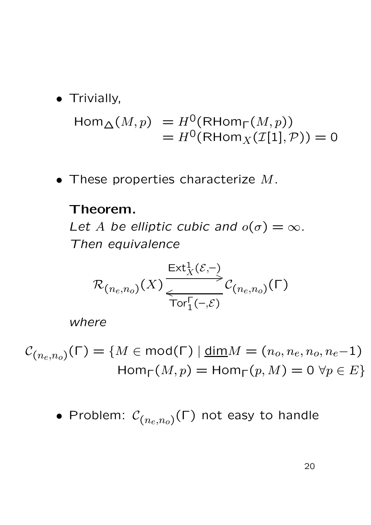• Trivially,

$$
\text{Hom}_{\Delta}(M, p) = H^{0}(\text{RHom}_{\Gamma}(M, p))
$$
  
=  $H^{0}(\text{RHom}_{X}(\mathcal{I}[1], \mathcal{P})) = 0$ 

 $\bullet$  These properties characterize  $M$ .

#### Theorem.

Let A be elliptic cubic and  $o(\sigma) = \infty$ . Then equivalence

$$
\mathcal{R}_{(n_e, n_o)}(X) \xrightarrow[\text{Tor}_1^{\Gamma(-, \mathcal{E})} C_{(n_e, n_o)}(\Gamma)
$$

where

 $\mathcal{C}_{(n_e,n_o)}(\mathsf{\Gamma}) = \{M\in\mathsf{mod}(\mathsf{\Gamma})\ |\ \underline{\mathsf{dim}} M = (n_o,n_e,n_o,n_e{-}1) \}$  $\text{Hom}_{\Gamma}(M, p) = \text{Hom}_{\Gamma}(p, M) = 0 \,\forall p \in E$ 

 $\bullet$  Problem:  $\mathcal{C}_{(n_e,n_o)}(\mathsf{\Gamma})$  not easy to handle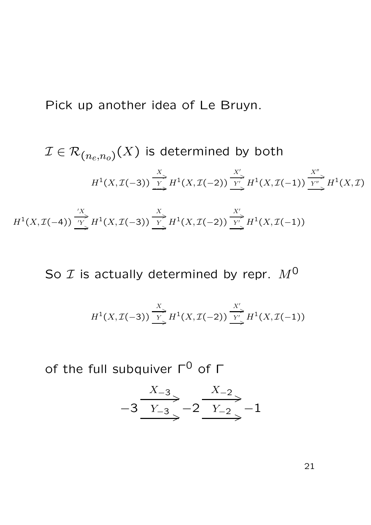Pick up another idea of Le Bruyn.

$$
\mathcal{I} \in \mathcal{R}_{(n_e, n_o)}(X) \text{ is determined by both}
$$
\n
$$
H^1(X, \mathcal{I}(-3)) \xrightarrow{\frac{X}{Y}} H^1(X, \mathcal{I}(-2)) \xrightarrow{\frac{X'}{Y'}} H^1(X, \mathcal{I}(-1)) \xrightarrow{\frac{X''}{Y''}} H^1(X, \mathcal{I})
$$

 $H^1(X, \mathcal{I}(-4))$  $\stackrel{'}{\longrightarrow}$  $\overline{Y}$   $H^1(X, \mathcal{I}(-3))$  $\overset{X}{\longrightarrow}$  $\overline{Y} H^1(X, \mathcal{I}(-2))$  $\overset{X'}{\longrightarrow}$  $Y'$  $\sum_{\rightarrow}^{\infty} H^1(X, \mathcal{I}(-1))$ 

So  $\mathcal I$  is actually determined by repr.  $M^0$ 

$$
H^1(X, \mathcal{I}(-3)) \xrightarrow[\text{ }]{X} H^1(X, \mathcal{I}(-2)) \xrightarrow[\text{ }]{X'} H^1(X, \mathcal{I}(-1))
$$

of the full subquiver  $Γ^0$  of  $Γ$ 

$$
-3 \xrightarrow{X_{-3}} -2 \xrightarrow{X_{-2}} -1
$$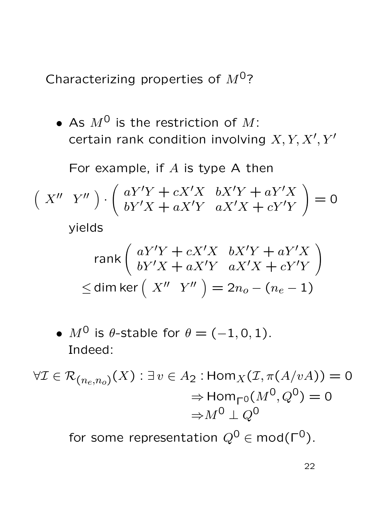Characterizing properties of  $M^{0}$ ?

• As  $M^0$  is the restriction of M: certain rank condition involving  $X, Y, X', Y'$ 

For example, if  $A$  is type A then

$$
\begin{pmatrix} X'' & Y'' \end{pmatrix} \cdot \begin{pmatrix} aY'Y + cX'X & bX'Y + aY'X \\ bY'X + aX'Y & aX'X + cY'Y \end{pmatrix} = 0
$$

yields

$$
\operatorname{rank}\left(\begin{array}{cc} aY'Y + cX'X & bX'Y + aY'X\\ bY'X + aX'Y & aX'X + cY'Y\end{array}\right)
$$
  
\n
$$
\leq \operatorname{dim}\operatorname{ker}\left(\begin{array}{cc} X'' & Y''\end{array}\right) = 2n_o - (n_e - 1)
$$

• 
$$
M^0
$$
 is  $\theta$ -stable for  $\theta = (-1, 0, 1)$ .  
Indeed:

$$
\forall \mathcal{I} \in \mathcal{R}_{(n_e, n_o)}(X) : \exists v \in A_2 : \text{Hom}_X(\mathcal{I}, \pi(A/vA)) = 0
$$

$$
\Rightarrow \text{Hom}_{\Gamma^0}(M^0, Q^0) = 0
$$

$$
\Rightarrow M^0 \perp Q^0
$$

for some representation  $Q^0 \in \text{mod}(\Gamma^0)$ .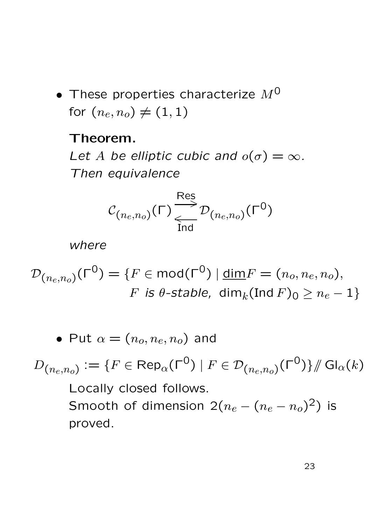• These properties characterize  $M^0$ for  $(n_e, n_o) \neq (1, 1)$ 

#### Theorem.

Let A be elliptic cubic and  $o(\sigma) = \infty$ . Then equivalence

$$
C_{(n_e, n_o)}(\Gamma) \frac{\text{Res}}{\text{Ind}} \mathcal{D}_{(n_e, n_o)}(\Gamma^0)
$$

where

$$
\mathcal{D}_{(n_e,n_o)}(\Gamma^0) = \{ F \in \text{mod}(\Gamma^0) \mid \underline{\text{dim}}F = (n_o, n_e, n_o),
$$
  
*F* is *θ*-stable, dim<sub>k</sub>(Ind *F*)<sub>0</sub>  $\geq n_e - 1 \}$ 

• Put 
$$
\alpha = (n_o, n_e, n_o)
$$
 and

 $D_{(n_e,n_o)}:=\{F\in\mathsf{Rep}_{\alpha}(\mathsf{\Gamma}^{\mathsf{O}})\mid F\in\mathcal{D}_{(n_e,n_o)}(\mathsf{\Gamma}^{\mathsf{O}})\}/\hspace{-0.1cm}\mathsf{GI_{\alpha}}(k)$ Locally closed follows. Smooth of dimension  $2(n_e - (n_e - n_o)^2)$  is proved.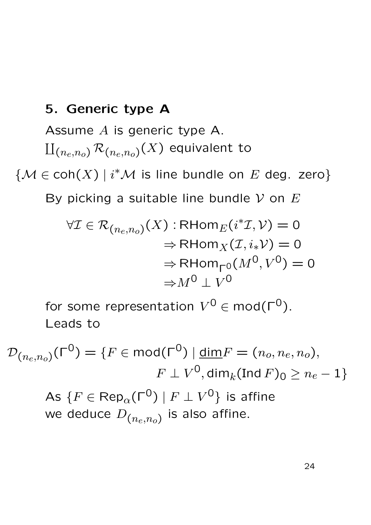## 5. Generic type A

Assume A is generic type A.  $\amalg_{(n_e,n_o)}\mathcal{R}_{(n_e,n_o)}(X)$  equivalent to

 ${M \in \text{coh}(X) \mid i^* \mathcal{M} \text{ is line bundle on } E \text{ deg. zero}}$ 

By picking a suitable line bundle  $V$  on  $E$ 

$$
\forall \mathcal{I} \in \mathcal{R}_{(n_e, n_o)}(X) : \mathsf{RHom}_E(i^* \mathcal{I}, \mathcal{V}) = 0
$$

$$
\Rightarrow \mathsf{RHom}_X(\mathcal{I}, i_* \mathcal{V}) = 0
$$

$$
\Rightarrow \mathsf{RHom}_{\mathsf{F}^0}(M^0, V^0) = 0
$$

$$
\Rightarrow M^0 \perp V^0
$$

for some representation  $V^0 \in \mathsf{mod}(\mathsf{\Gamma}^0).$ Leads to

 $\mathcal{D}_{(n_e,n_o)}(\mathsf{\Gamma}^0) = \{F\in\mathsf{mod}(\mathsf{\Gamma}^0)\ |\ \underline{\mathsf{dim}} F = (n_o,n_e,n_o),$  $F\perp V^{\mathsf{O}},\operatorname{\mathsf{dim}}\nolimits_k(\operatorname{Ind}\nolimits F)_{\mathsf{O}}\geq n_e-1\}$ As  $\{F\in\mathsf{Rep}_{\alpha}(\mathsf{\Gamma}^\mathsf{O}) \mid F\perp V^\mathsf{O}\}$  is affine we deduce  $D_{\left(n_e,n_o\right)}$  is also affine.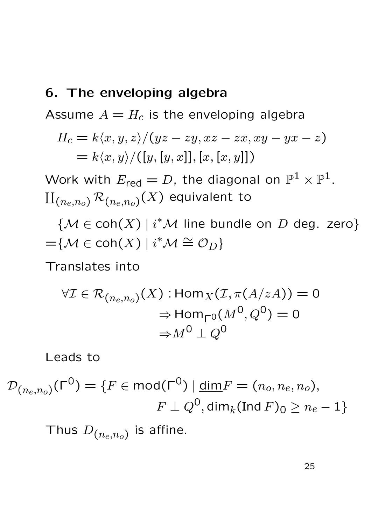#### 6. The enveloping algebra

Assume  $A = H_c$  is the enveloping algebra

$$
H_c = k \langle x, y, z \rangle / (yz - zy, xz - zx, xy - yx - z)
$$
  
=  $k \langle x, y \rangle / ([y, [y, x]], [x, [x, y]])$ 

Work with  $E_{\sf red}=D$ , the diagonal on  $\mathbb{P}^1\times \mathbb{P}^1.$  $\amalg_{(n_e,n_o)} \mathcal{R}_{(n_e,n_o)}(X)$  equivalent to

 ${M \in \text{coh}(X) | i^*\mathcal{M}}$  line bundle on  $D$  deg. zero}  $=\mathcal{M}\in \mathsf{coh}(X)\mid i^*\mathcal{M}\cong \mathcal{O}_D\}$ 

Translates into

$$
\forall \mathcal{I} \in \mathcal{R}_{(n_e, n_o)}(X) : \text{Hom}_X(\mathcal{I}, \pi(A/zA)) = 0
$$

$$
\Rightarrow \text{Hom}_{\Gamma^0}(M^0, Q^0) = 0
$$

$$
\Rightarrow M^0 \perp Q^0
$$

Leads to

$$
\mathcal{D}_{(n_e,n_o)}(\Gamma^0) = \{F \in \text{mod}(\Gamma^0) \mid \underline{\text{dim}}F = (n_o, n_e, n_o),
$$

$$
F \perp Q^0, \underline{\text{dim}}_k(\text{Ind } F)_0 \ge n_e - 1\}
$$

Thus  $D_{(n_e,n_o)}$  is affine.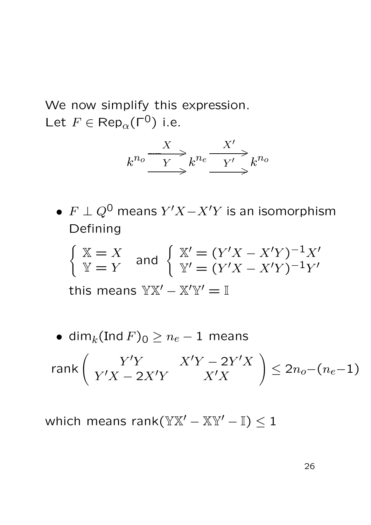We now simplify this expression. Let  $F \in \text{Rep}_{\alpha}(\Gamma^0)$  i.e.



•  $F \perp Q^0$  means  $Y'X - X'Y$  is an isomorphism Defining

$$
\begin{cases} \mathbb{X} = X \\ \mathbb{Y} = Y \end{cases} \text{ and } \begin{cases} \mathbb{X}' = (Y'X - X'Y)^{-1}X' \\ \mathbb{Y}' = (Y'X - X'Y)^{-1}Y' \end{cases}
$$

this means  $\mathbb{Y} \mathbb{X}' - \mathbb{X}' \mathbb{Y}' = \mathbb{I}$ 

• dim<sub>k</sub>(Ind  $F$ )<sub>0</sub>  $\geq n_e - 1$  means

$$
\operatorname{rank}\left(\begin{array}{cc} Y'Y & X'Y - 2Y'X \\ Y'X - 2X'Y & X'X \end{array}\right) \le 2n_o - (n_e - 1)
$$

which means rank( $\mathbb{Y} \mathbb{X}' - \mathbb{X} \mathbb{Y}' - \mathbb{I}$ )  $\leq 1$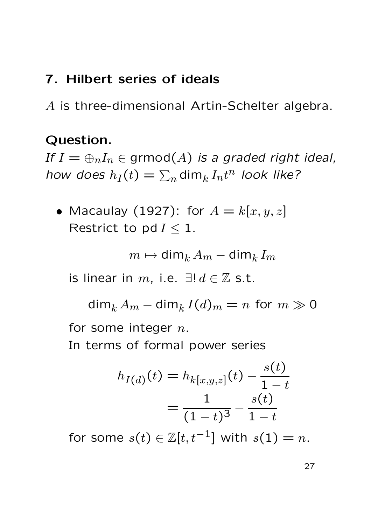## 7. Hilbert series of ideals

A is three-dimensional Artin-Schelter algebra.

## Question.

If  $I = \bigoplus_{n} I_n \in \text{grmod}(A)$  is a graded right ideal, how does  $h_I(t)=\sum_n{\mathsf{dim}_k}\,I_nt^n$  look like?

• Macaulay (1927): for  $A = k[x, y, z]$ Restrict to pd  $I \leq 1$ .

$$
m\mapsto \mathsf{dim}_{k}\, A_m-\mathsf{dim}_{k}\, I_m
$$

is linear in m, i.e.  $\exists ! d \in \mathbb{Z}$  s.t.

dim $_k A_m -$ dim $_k I(d)_m = n$  for  $m \gg 0$ for some integer  $n$ .

In terms of formal power series

$$
h_{I(d)}(t) = h_{k[x,y,z]}(t) - \frac{s(t)}{1-t}
$$

$$
= \frac{1}{(1-t)^3} - \frac{s(t)}{1-t}
$$

for some  $s(t) \in \mathbb{Z}[t, t^{-1}]$  with  $s(1) = n$ .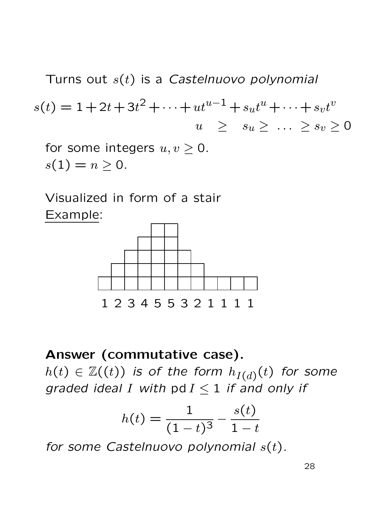Turns out  $s(t)$  is a Castelnuovo polynomial  $s(t) = 1 + 2t + 3t^2 + \cdots + ut^{u-1} + s_u t^u + \cdots + s_v t^v$  $u \geq s_u \geq \ldots \geq s_v \geq 0$ 

for some integers  $u, v \geq 0$ .  $s(1) = n \ge 0.$ 

Visualized in form of a stair Example:



Answer (commutative case).

 $h(t)\,\in\, \mathbb Z((t))$  is of the form  $h_{I(d)}(t)$  for some graded ideal I with pd  $I < 1$  if and only if

$$
h(t) = \frac{1}{(1-t)^3} - \frac{s(t)}{1-t}
$$

for some Castelnuovo polynomial  $s(t)$ .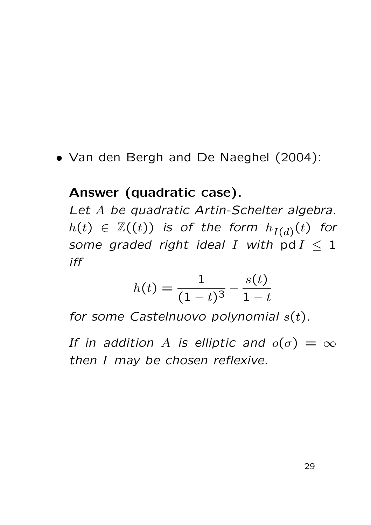• Van den Bergh and De Naeghel (2004):

## Answer (quadratic case).

Let A be quadratic Artin-Schelter algebra.  $h(t)\ \in\ \mathbb{Z}((t))$  is of the form  $h_{I(d)}(t)$  for some graded right ideal I with pd  $I \leq 1$ iff

$$
h(t) = \frac{1}{(1-t)^3} - \frac{s(t)}{1-t}
$$

for some Castelnuovo polynomial  $s(t)$ .

If in addition A is elliptic and  $o(\sigma) = \infty$ then I may be chosen reflexive.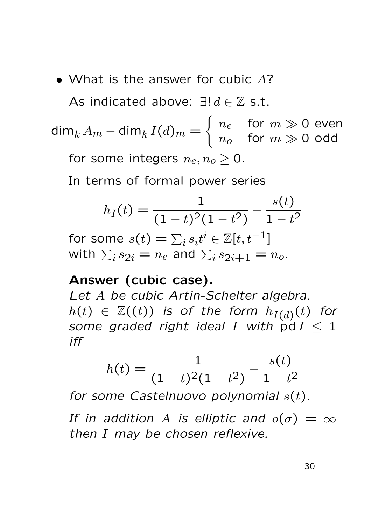• What is the answer for cubic A?

As indicated above:  $\exists ! d \in \mathbb{Z}$  s.t.

dim $_k A_m -$ dim $_k I(d)_m =$  $\int n_e$  for  $m \gg 0$  even  $n_o$  for  $m \gg 0$  odd for some integers  $n_e, n_o > 0$ .

In terms of formal power series

$$
h_I(t) = \frac{1}{(1-t)^2(1-t^2)} - \frac{s(t)}{1-t^2}
$$

for some  $s(t)=\sum_i s_i t^i\in \mathbb{Z}[t,t^{-1}]$ with  $\sum_i s_{2i} = n_e$  and  $\sum_i s_{2i+1} = n_o$ .

## Answer (cubic case).

Let A be cubic Artin-Schelter algebra.  $h(t)\ \in\ \mathbb{Z}((t))$  is of the form  $h_{I(d)}(t)$  for some graded right ideal I with  $\overrightarrow{p}dI < 1$ iff

$$
h(t) = \frac{1}{(1-t)^2(1-t^2)} - \frac{s(t)}{1-t^2}
$$

for some Castelnuovo polynomial  $s(t)$ .

If in addition A is elliptic and  $o(\sigma) = \infty$ then I may be chosen reflexive.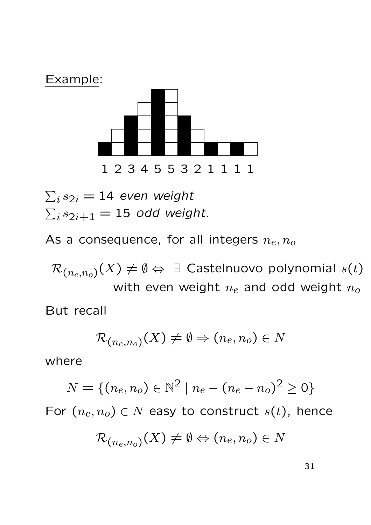

 $\sum_i s_{2i} = 14$  even weight  $\sum_i s_{2i+1} = 15$  odd weight.

As a consequence, for all integers  $n_e, n_o$ 

 $\mathcal{R}_{(n_{e},n_{o})}(X)\neq\emptyset\Leftrightarrow~\exists$  Castelnuovo polynomial  $s(t)$ with even weight  $n_e$  and odd weight  $n_o$ 

But recall

$$
\mathcal{R}_{(n_e,n_o)}(X) \neq \emptyset \Rightarrow (n_e,n_o) \in N
$$

where

$$
N = \{(n_e, n_o) \in \mathbb{N}^2 \mid n_e - (n_e - n_o)^2 \ge 0\}
$$

For  $(n_e, n_o) \in N$  easy to construct  $s(t)$ , hence

$$
\mathcal{R}_{(n_e,n_o)}(X) \neq \emptyset \Leftrightarrow (n_e,n_o) \in N
$$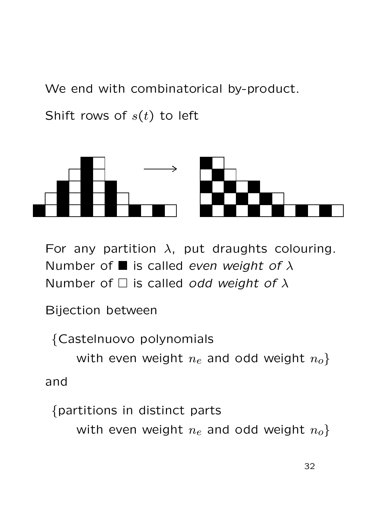We end with combinatorical by-product.

Shift rows of  $s(t)$  to left



For any partition  $\lambda$ , put draughts colouring. Number of  $\blacksquare$  is called even weight of  $\lambda$ Number of  $\Box$  is called odd weight of  $\lambda$ 

Bijection between

{Castelnuovo polynomials

with even weight  $n_e$  and odd weight  $n_o$ } and

{partitions in distinct parts

with even weight  $n_e$  and odd weight  $n_o$ }